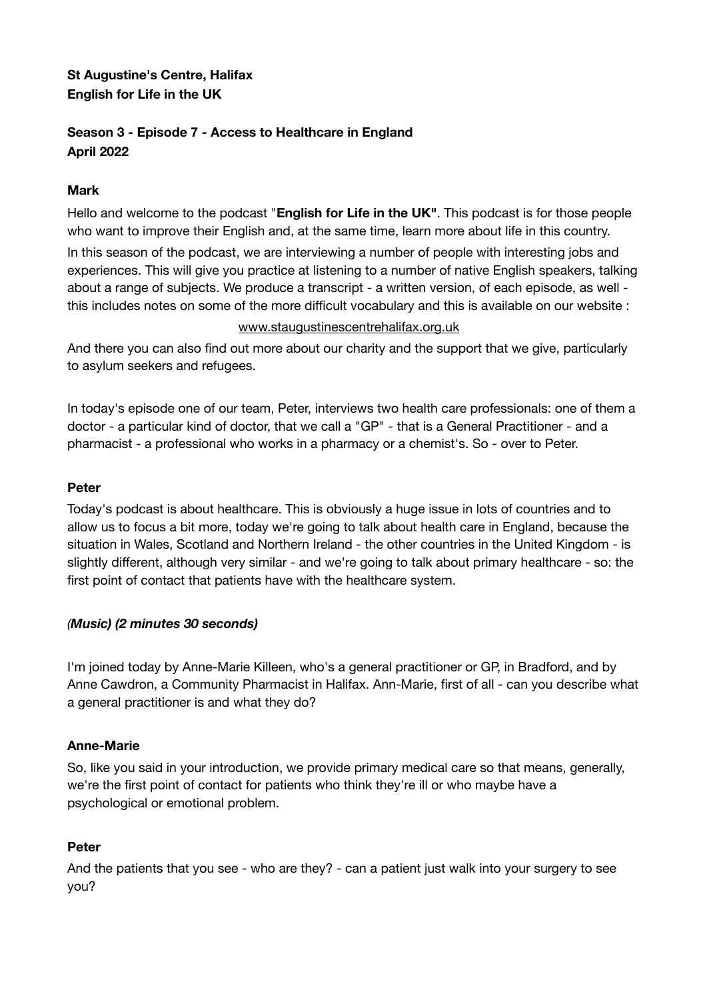# **St Augustine's Centre, Halifax English for Life in the UK**

# **Season 3 - Episode 7 - Access to Healthcare in England April 2022**

## **Mark**

Hello and welcome to the podcast "**English for Life in the UK"**. This podcast is for those people who want to improve their English and, at the same time, learn more about life in this country.

In this season of the podcast, we are interviewing a number of people with interesting jobs and experiences. This will give you practice at listening to a number of native English speakers, talking about a range of subjects. We produce a transcript - a written version, of each episode, as well this includes notes on some of the more difficult vocabulary and this is available on our website :

## [www.staugustinescentrehalifax.org.uk](http://www.staugustinescentrehalifax.org.uk)

And there you can also find out more about our charity and the support that we give, particularly to asylum seekers and refugees.

In today's episode one of our team, Peter, interviews two health care professionals: one of them a doctor - a particular kind of doctor, that we call a "GP" - that is a General Practitioner - and a pharmacist - a professional who works in a pharmacy or a chemist's. So - over to Peter.

## **Peter**

Today's podcast is about healthcare. This is obviously a huge issue in lots of countries and to allow us to focus a bit more, today we're going to talk about health care in England, because the situation in Wales, Scotland and Northern Ireland - the other countries in the United Kingdom - is slightly different, although very similar - and we're going to talk about primary healthcare - so: the first point of contact that patients have with the healthcare system.

## *(Music) (2 minutes 30 seconds)*

I'm joined today by Anne-Marie Killeen, who's a general practitioner or GP, in Bradford, and by Anne Cawdron, a Community Pharmacist in Halifax. Ann-Marie, first of all - can you describe what a general practitioner is and what they do?

## **Anne-Marie**

So, like you said in your introduction, we provide primary medical care so that means, generally, we're the first point of contact for patients who think they're ill or who maybe have a psychological or emotional problem.

## **Peter**

And the patients that you see - who are they? - can a patient just walk into your surgery to see you?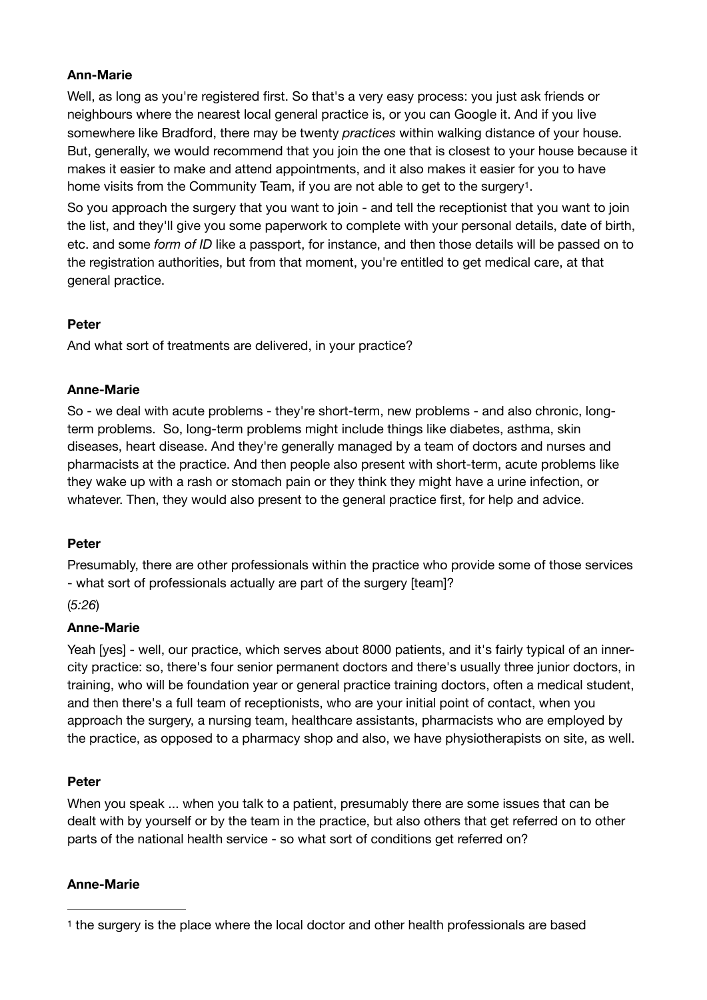## **Ann-Marie**

Well, as long as you're registered first. So that's a very easy process: you just ask friends or neighbours where the nearest local general practice is, or you can Google it. And if you live somewhere like Bradford, there may be twenty *practices* within walking distance of your house. But, generally, we would recommend that you join the one that is closest to your house because it makes it easier to make and attend appointments, and it also makes it easier for you to have home visits from the Community Team, if you are not able to get to the surgery<sup>1</sup>[.](#page-1-0)

<span id="page-1-1"></span>So you approach the surgery that you want to join - and tell the receptionist that you want to join the list, and they'll give you some paperwork to complete with your personal details, date of birth, etc. and some *form of ID* like a passport, for instance, and then those details will be passed on to the registration authorities, but from that moment, you're entitled to get medical care, at that general practice.

## **Peter**

And what sort of treatments are delivered, in your practice?

## **Anne-Marie**

So - we deal with acute problems - they're short-term, new problems - and also chronic, longterm problems. So, long-term problems might include things like diabetes, asthma, skin diseases, heart disease. And they're generally managed by a team of doctors and nurses and pharmacists at the practice. And then people also present with short-term, acute problems like they wake up with a rash or stomach pain or they think they might have a urine infection, or whatever. Then, they would also present to the general practice first, for help and advice.

#### **Peter**

Presumably, there are other professionals within the practice who provide some of those services - what sort of professionals actually are part of the surgery [team]?

(*5:26*)

## **Anne-Marie**

Yeah [yes] - well, our practice, which serves about 8000 patients, and it's fairly typical of an innercity practice: so, there's four senior permanent doctors and there's usually three junior doctors, in training, who will be foundation year or general practice training doctors, often a medical student, and then there's a full team of receptionists, who are your initial point of contact, when you approach the surgery, a nursing team, healthcare assistants, pharmacists who are employed by the practice, as opposed to a pharmacy shop and also, we have physiotherapists on site, as well.

#### **Peter**

When you speak ... when you talk to a patient, presumably there are some issues that can be dealt with by yourself or by the team in the practice, but also others that get referred on to other parts of the national health service - so what sort of conditions get referred on?

#### **Anne-Marie**

<span id="page-1-0"></span>[<sup>1</sup>](#page-1-1) the surgery is the place where the local doctor and other health professionals are based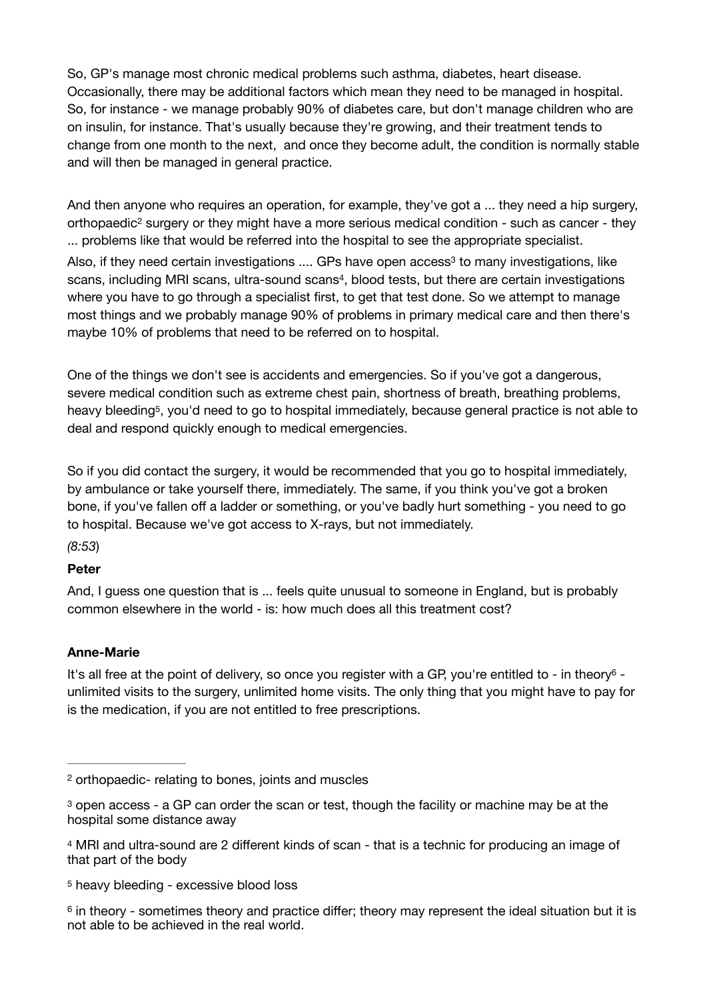So, GP's manage most chronic medical problems such asthma, diabetes, heart disease. Occasionally, there may be additional factors which mean they need to be managed in hospital. So, for instance - we manage probably 90% of diabetes care, but don't manage children who are on insulin, for instance. That's usually because they're growing, and their treatment tends to change from one month to the next, and once they become adult, the condition is normally stable and will then be managed in general practice.

<span id="page-2-5"></span>And then anyone who requires an operation, for example, they've got a ... they need a hip surgery, orthopaedic<sup>2</sup>surgery or they might have a more serious medical condition - such as cancer - they ... problems like that would be referred into the hospital to see the appropriate specialist.

<span id="page-2-7"></span><span id="page-2-6"></span>Also,if they need certain investigations .... GPs have open access<sup>[3](#page-2-1)</sup> to many investigations, like scans[,](#page-2-2) including MRI scans, ultra-sound scans<sup>[4](#page-2-2)</sup>, blood tests, but there are certain investigations where you have to go through a specialist first, to get that test done. So we attempt to manage most things and we probably manage 90% of problems in primary medical care and then there's maybe 10% of problems that need to be referred on to hospital.

<span id="page-2-8"></span>One of the things we don't see is accidents and emergencies. So if you've got a dangerous, severe medical condition such as extreme chest pain, shortness of breath, breathing problems, heavy bleeding<sup>5</sup>[,](#page-2-3) you'd need to go to hospital immediately, because general practice is not able to deal and respond quickly enough to medical emergencies.

So if you did contact the surgery, it would be recommended that you go to hospital immediately, by ambulance or take yourself there, immediately. The same, if you think you've got a broken bone, if you've fallen off a ladder or something, or you've badly hurt something - you need to go to hospital. Because we've got access to X-rays, but not immediately.

# *(8:53*)

## **Peter**

And, I guess one question that is ... feels quite unusual to someone in England, but is probably common elsewhere in the world - is: how much does all this treatment cost?

## <span id="page-2-9"></span>**Anne-Marie**

It's all free at the point of deliver[y](#page-2-4), so once you register with a GP, you're entitled to - in theory<sup>[6](#page-2-4)</sup> unlimited visits to the surgery, unlimited home visits. The only thing that you might have to pay for is the medication, if you are not entitled to free prescriptions.

<span id="page-2-0"></span>[<sup>2</sup>](#page-2-5) orthopaedic- relating to bones, joints and muscles

<span id="page-2-1"></span> $3$ open access - a GP can order the scan or test, though the facility or machine may be at the hospital some distance away

<span id="page-2-2"></span><sup>&</sup>lt;sup>[4](#page-2-7)</sup> MRI and ultra-sound are 2 different kinds of scan - that is a technic for producing an image of that part of the body

<span id="page-2-3"></span>[<sup>5</sup>](#page-2-8) heavy bleeding - excessive blood loss

<span id="page-2-4"></span><sup>&</sup>lt;sup>[6](#page-2-9)</sup> in theory - sometimes theory and practice differ; theory may represent the ideal situation but it is not able to be achieved in the real world.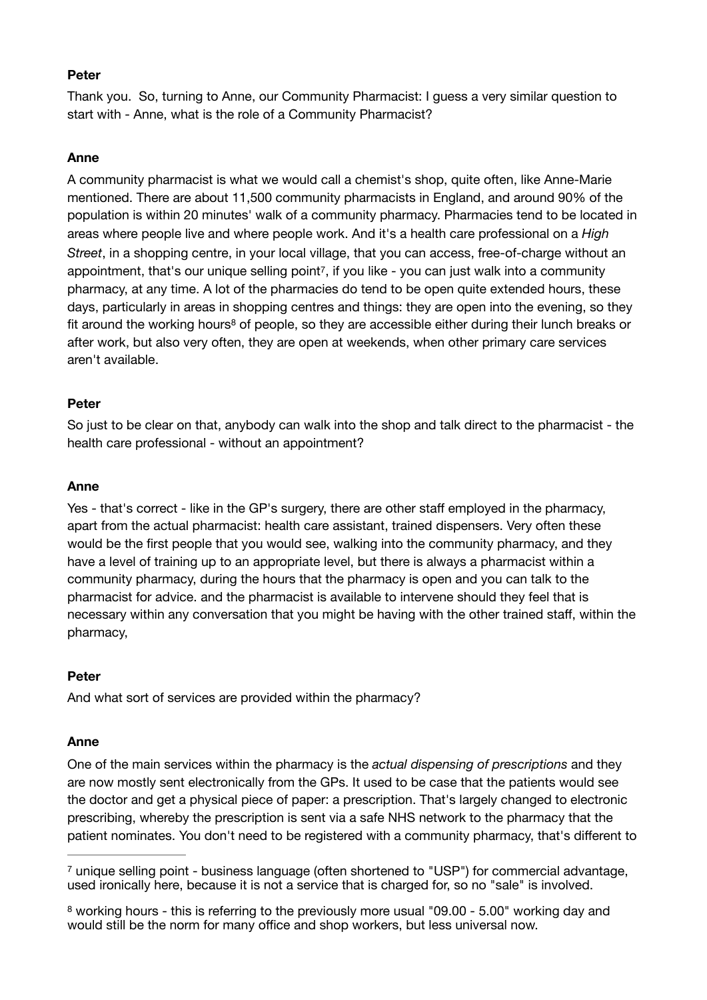#### **Peter**

Thank you. So, turning to Anne, our Community Pharmacist: I guess a very similar question to start with - Anne, what is the role of a Community Pharmacist?

#### **Anne**

<span id="page-3-2"></span>A community pharmacist is what we would call a chemist's shop, quite often, like Anne-Marie mentioned. There are about 11,500 community pharmacists in England, and around 90% of the population is within 20 minutes' walk of a community pharmacy. Pharmacies tend to be located in areas where people live and where people work. And it's a health care professional on a *High Street*, in a shopping centre, in your local village, that you can access, free-of-charge without an appointment, that's our unique selling point<sup>[7](#page-3-0)</sup>, if you like - you can just walk into a community pharmacy, at any time. A lot of the pharmacies do tend to be open quite extended hours, these days, particularly in areas in shopping centres and things: they are open into the evening, so they fitaround the working hours<sup>[8](#page-3-1)</sup> of people, so they are accessible either during their lunch breaks or after work, but also very often, they are open at weekends, when other primary care services aren't available.

#### <span id="page-3-3"></span>**Peter**

So just to be clear on that, anybody can walk into the shop and talk direct to the pharmacist - the health care professional - without an appointment?

#### **Anne**

Yes - that's correct - like in the GP's surgery, there are other staff employed in the pharmacy, apart from the actual pharmacist: health care assistant, trained dispensers. Very often these would be the first people that you would see, walking into the community pharmacy, and they have a level of training up to an appropriate level, but there is always a pharmacist within a community pharmacy, during the hours that the pharmacy is open and you can talk to the pharmacist for advice. and the pharmacist is available to intervene should they feel that is necessary within any conversation that you might be having with the other trained staff, within the pharmacy,

#### **Peter**

And what sort of services are provided within the pharmacy?

#### **Anne**

One of the main services within the pharmacy is the *actual dispensing of prescriptions* and they are now mostly sent electronically from the GPs. It used to be case that the patients would see the doctor and get a physical piece of paper: a prescription. That's largely changed to electronic prescribing, whereby the prescription is sent via a safe NHS network to the pharmacy that the patient nominates. You don't need to be registered with a community pharmacy, that's different to

<span id="page-3-0"></span><sup>&</sup>lt;sup>7</sup>unique selling point - business language (often shortened to "USP") for commercial advantage, used ironically here, because it is not a service that is charged for, so no "sale" is involved.

<span id="page-3-1"></span><sup>&</sup>lt;sup>8</sup>working hours - this is referring to the previously more usual "09.00 - 5.00" working day and would still be the norm for many office and shop workers, but less universal now.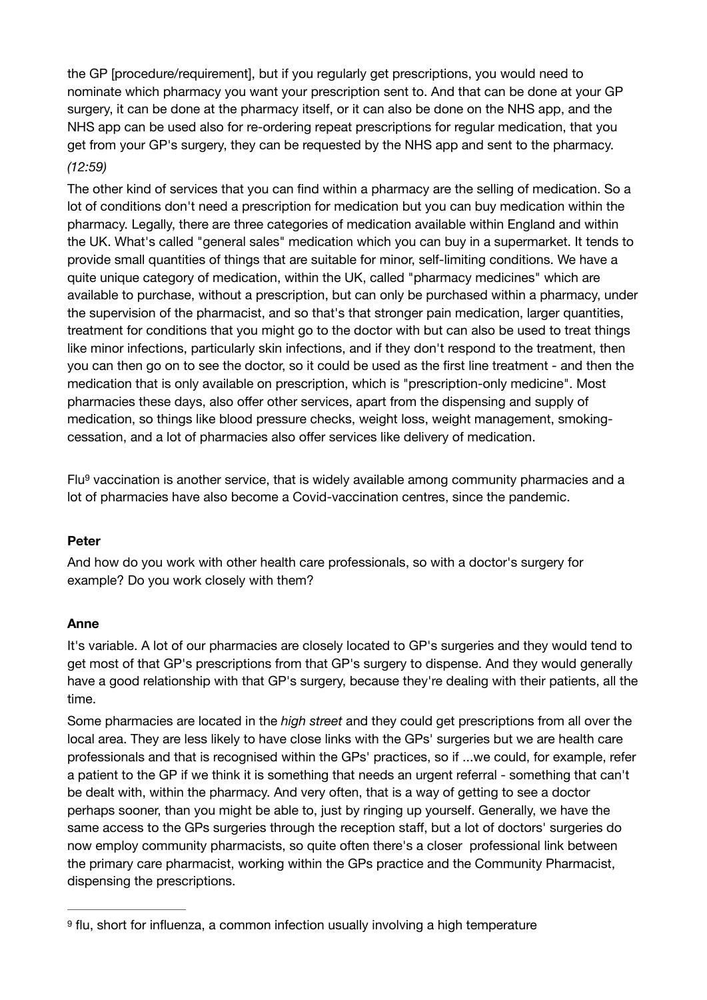the GP [procedure/requirement], but if you regularly get prescriptions, you would need to nominate which pharmacy you want your prescription sent to. And that can be done at your GP surgery, it can be done at the pharmacy itself, or it can also be done on the NHS app, and the NHS app can be used also for re-ordering repeat prescriptions for regular medication, that you get from your GP's surgery, they can be requested by the NHS app and sent to the pharmacy. *(12:59)* 

The other kind of services that you can find within a pharmacy are the selling of medication. So a lot of conditions don't need a prescription for medication but you can buy medication within the pharmacy. Legally, there are three categories of medication available within England and within the UK. What's called "general sales" medication which you can buy in a supermarket. It tends to provide small quantities of things that are suitable for minor, self-limiting conditions. We have a quite unique category of medication, within the UK, called "pharmacy medicines" which are available to purchase, without a prescription, but can only be purchased within a pharmacy, under the supervision of the pharmacist, and so that's that stronger pain medication, larger quantities, treatment for conditions that you might go to the doctor with but can also be used to treat things like minor infections, particularly skin infections, and if they don't respond to the treatment, then you can then go on to see the doctor, so it could be used as the first line treatment - and then the medication that is only available on prescription, which is "prescription-only medicine". Most pharmacies these days, also offer other services, apart from the dispensing and supply of medication, so things like blood pressure checks, weight loss, weight management, smokingcessation, and a lot of pharmacies also offer services like delivery of medication.

<span id="page-4-1"></span> $Flu<sup>9</sup>$  $Flu<sup>9</sup>$  $Flu<sup>9</sup>$ vaccination is another service, that is widely available among community pharmacies and a lot of pharmacies have also become a Covid-vaccination centres, since the pandemic.

#### **Peter**

And how do you work with other health care professionals, so with a doctor's surgery for example? Do you work closely with them?

## **Anne**

It's variable. A lot of our pharmacies are closely located to GP's surgeries and they would tend to get most of that GP's prescriptions from that GP's surgery to dispense. And they would generally have a good relationship with that GP's surgery, because they're dealing with their patients, all the time.

Some pharmacies are located in the *high street* and they could get prescriptions from all over the local area. They are less likely to have close links with the GPs' surgeries but we are health care professionals and that is recognised within the GPs' practices, so if ...we could, for example, refer a patient to the GP if we think it is something that needs an urgent referral - something that can't be dealt with, within the pharmacy. And very often, that is a way of getting to see a doctor perhaps sooner, than you might be able to, just by ringing up yourself. Generally, we have the same access to the GPs surgeries through the reception staff, but a lot of doctors' surgeries do now employ community pharmacists, so quite often there's a closer professional link between the primary care pharmacist, working within the GPs practice and the Community Pharmacist, dispensing the prescriptions.

<span id="page-4-0"></span>[<sup>9</sup>](#page-4-1) flu, short for influenza, a common infection usually involving a high temperature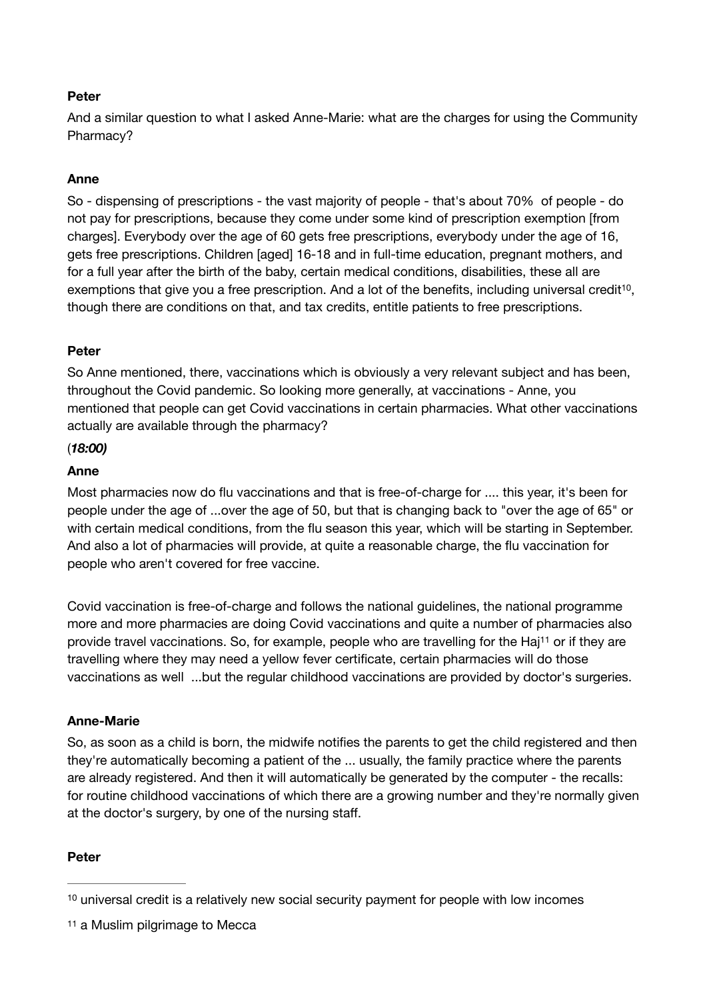## **Peter**

And a similar question to what I asked Anne-Marie: what are the charges for using the Community Pharmacy?

## **Anne**

So - dispensing of prescriptions - the vast majority of people - that's about 70% of people - do not pay for prescriptions, because they come under some kind of prescription exemption [from charges]. Everybody over the age of 60 gets free prescriptions, everybody under the age of 16, gets free prescriptions. Children [aged] 16-18 and in full-time education, pregnant mothers, and for a full year after the birth of the baby, certain medical conditions, disabilities, these all are exemptions that give you a free prescription. And a lot of the benefits[,](#page-5-0) including universal credit<sup>[10](#page-5-0)</sup>, though there are conditions on that, and tax credits, entitle patients to free prescriptions.

## <span id="page-5-2"></span>**Peter**

So Anne mentioned, there, vaccinations which is obviously a very relevant subject and has been, throughout the Covid pandemic. So looking more generally, at vaccinations - Anne, you mentioned that people can get Covid vaccinations in certain pharmacies. What other vaccinations actually are available through the pharmacy?

## (*18:00)*

#### **Anne**

Most pharmacies now do flu vaccinations and that is free-of-charge for .... this year, it's been for people under the age of ...over the age of 50, but that is changing back to "over the age of 65" or with certain medical conditions, from the flu season this year, which will be starting in September. And also a lot of pharmacies will provide, at quite a reasonable charge, the flu vaccination for people who aren't covered for free vaccine.

<span id="page-5-3"></span>Covid vaccination is free-of-charge and follows the national guidelines, the national programme more and more pharmacies are doing Covid vaccinations and quite a number of pharmacies also provide travel vaccinations. So, for example, people who are travelling for the Haj<sup>[11](#page-5-1)</sup> or if they are travelling where they may need a yellow fever certificate, certain pharmacies will do those vaccinations as well ...but the regular childhood vaccinations are provided by doctor's surgeries.

#### **Anne-Marie**

So, as soon as a child is born, the midwife notifies the parents to get the child registered and then they're automatically becoming a patient of the ... usually, the family practice where the parents are already registered. And then it will automatically be generated by the computer - the recalls: for routine childhood vaccinations of which there are a growing number and they're normally given at the doctor's surgery, by one of the nursing staff.

#### **Peter**

<span id="page-5-0"></span><sup>&</sup>lt;sup>10</sup> universal credit is a relatively new social security payment for people with low incomes

<span id="page-5-1"></span>[<sup>11</sup>](#page-5-3) a Muslim pilgrimage to Mecca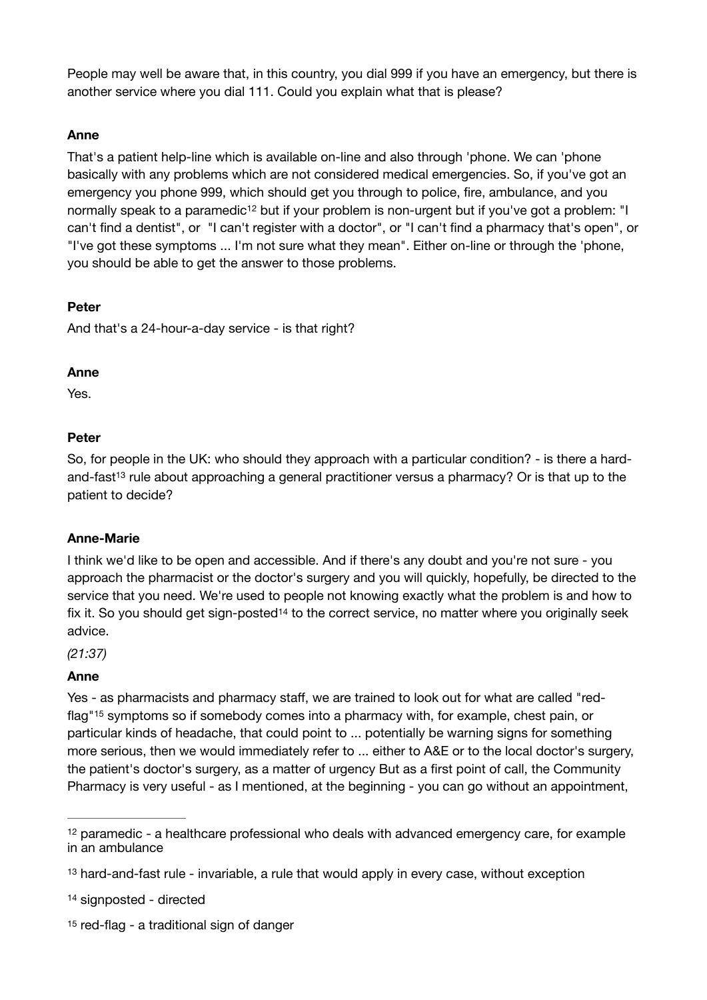People may well be aware that, in this country, you dial 999 if you have an emergency, but there is another service where you dial 111. Could you explain what that is please?

## **Anne**

<span id="page-6-4"></span>That's a patient help-line which is available on-line and also through 'phone. We can 'phone basically with any problems which are not considered medical emergencies. So, if you've got an emergency you phone 999, which should get you through to police, fire, ambulance, and you normally speak to a paramedi[c](#page-6-0)<sup>[12](#page-6-0)</sup> but if your problem is non-urgent but if you've got a problem: "I can't find a dentist", or "I can't register with a doctor", or "I can't find a pharmacy that's open", or "I've got these symptoms ... I'm not sure what they mean". Either on-line or through the 'phone, you should be able to get the answer to those problems.

#### **Peter**

And that's a 24-hour-a-day service - is that right?

#### **Anne**

Yes.

## **Peter**

<span id="page-6-5"></span>So, for people in the UK: who should they approach with a particular condition? - is there a hardand-fast<sup>13</sup>rule about approaching a general practitioner versus a pharmacy? Or is that up to the patient to decide?

#### **Anne-Marie**

I think we'd like to be open and accessible. And if there's any doubt and you're not sure - you approach the pharmacist or the doctor's surgery and you will quickly, hopefully, be directed to the service that you need. We're used to people not knowing exactly what the problem is and how to fix it. So you shoul[d](#page-6-2) get sign-posted<sup>[14](#page-6-2)</sup> to the correct service, no matter where you originally seek advice.

<span id="page-6-6"></span>*(21:37)* 

#### **Anne**

<span id="page-6-7"></span>Yes - as pharmacists and pharmacy staff, we are trained to look out for what are called "red-flag["](#page-6-3)<sup>[15](#page-6-3)</sup> symptoms so if somebody comes into a pharmacy with, for example, chest pain, or particular kinds of headache, that could point to ... potentially be warning signs for something more serious, then we would immediately refer to ... either to A&E or to the local doctor's surgery, the patient's doctor's surgery, as a matter of urgency But as a first point of call, the Community Pharmacy is very useful - as I mentioned, at the beginning - you can go without an appointment,

<span id="page-6-3"></span> $15$ red-flag - a traditional sign of danger

<span id="page-6-0"></span> $12$ paramedic - a healthcare professional who deals with advanced emergency care, for example in an ambulance

<span id="page-6-1"></span>[<sup>13</sup>](#page-6-5) hard-and-fast rule - invariable, a rule that would apply in every case, without exception

<span id="page-6-2"></span>[<sup>14</sup>](#page-6-6) signposted - directed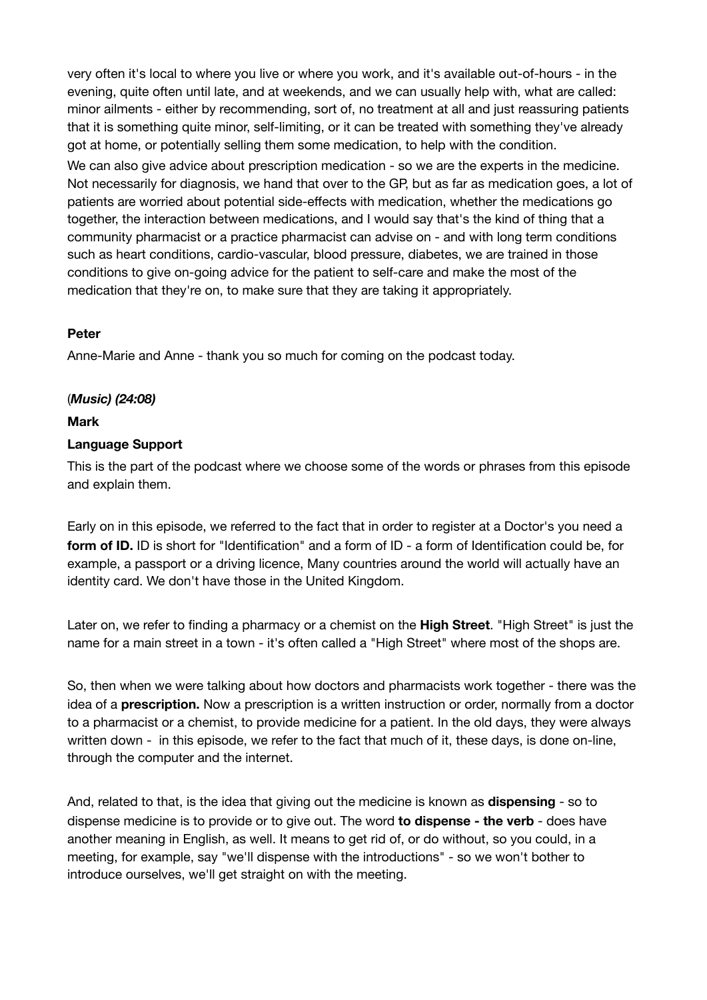very often it's local to where you live or where you work, and it's available out-of-hours - in the evening, quite often until late, and at weekends, and we can usually help with, what are called: minor ailments - either by recommending, sort of, no treatment at all and just reassuring patients that it is something quite minor, self-limiting, or it can be treated with something they've already got at home, or potentially selling them some medication, to help with the condition.

We can also give advice about prescription medication - so we are the experts in the medicine. Not necessarily for diagnosis, we hand that over to the GP, but as far as medication goes, a lot of patients are worried about potential side-effects with medication, whether the medications go together, the interaction between medications, and I would say that's the kind of thing that a community pharmacist or a practice pharmacist can advise on - and with long term conditions such as heart conditions, cardio-vascular, blood pressure, diabetes, we are trained in those conditions to give on-going advice for the patient to self-care and make the most of the medication that they're on, to make sure that they are taking it appropriately.

## **Peter**

Anne-Marie and Anne - thank you so much for coming on the podcast today.

#### (*Music) (24:08)*

#### **Mark**

#### **Language Support**

This is the part of the podcast where we choose some of the words or phrases from this episode and explain them.

Early on in this episode, we referred to the fact that in order to register at a Doctor's you need a **form of ID.** ID is short for "Identification" and a form of ID - a form of Identification could be, for example, a passport or a driving licence, Many countries around the world will actually have an identity card. We don't have those in the United Kingdom.

Later on, we refer to finding a pharmacy or a chemist on the **High Street**. "High Street" is just the name for a main street in a town - it's often called a "High Street" where most of the shops are.

So, then when we were talking about how doctors and pharmacists work together - there was the idea of a **prescription.** Now a prescription is a written instruction or order, normally from a doctor to a pharmacist or a chemist, to provide medicine for a patient. In the old days, they were always written down - in this episode, we refer to the fact that much of it, these days, is done on-line, through the computer and the internet.

And, related to that, is the idea that giving out the medicine is known as **dispensing** - so to dispense medicine is to provide or to give out. The word **to dispense - the verb** - does have another meaning in English, as well. It means to get rid of, or do without, so you could, in a meeting, for example, say "we'll dispense with the introductions" - so we won't bother to introduce ourselves, we'll get straight on with the meeting.